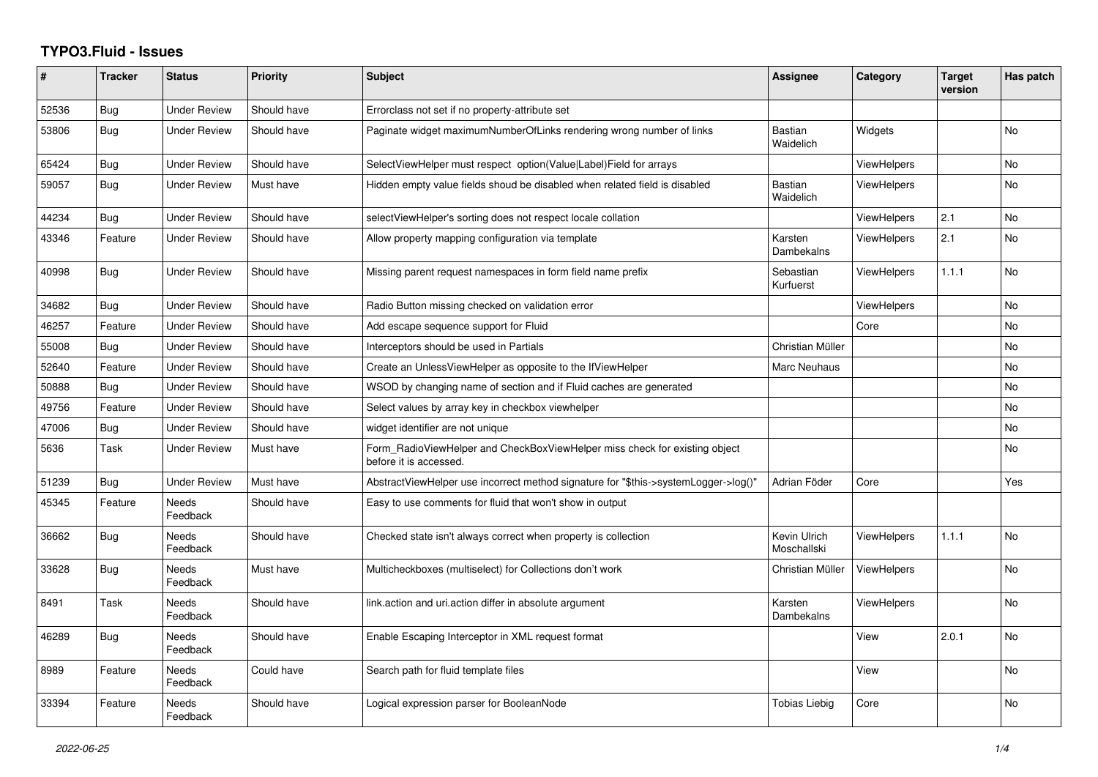## **TYPO3.Fluid - Issues**

| #     | <b>Tracker</b> | <b>Status</b>       | <b>Priority</b> | <b>Subject</b>                                                                                       | Assignee                    | Category           | <b>Target</b><br>version | Has patch      |
|-------|----------------|---------------------|-----------------|------------------------------------------------------------------------------------------------------|-----------------------------|--------------------|--------------------------|----------------|
| 52536 | <b>Bug</b>     | <b>Under Review</b> | Should have     | Errorclass not set if no property-attribute set                                                      |                             |                    |                          |                |
| 53806 | Bug            | Under Review        | Should have     | Paginate widget maximumNumberOfLinks rendering wrong number of links                                 | <b>Bastian</b><br>Waidelich | Widgets            |                          | N <sub>o</sub> |
| 65424 | Bug            | <b>Under Review</b> | Should have     | SelectViewHelper must respect option(Value Label)Field for arrays                                    |                             | <b>ViewHelpers</b> |                          | <b>No</b>      |
| 59057 | <b>Bug</b>     | Under Review        | Must have       | Hidden empty value fields shoud be disabled when related field is disabled                           | <b>Bastian</b><br>Waidelich | <b>ViewHelpers</b> |                          | <b>No</b>      |
| 44234 | Bug            | Under Review        | Should have     | selectViewHelper's sorting does not respect locale collation                                         |                             | ViewHelpers        | 2.1                      | N <sub>o</sub> |
| 43346 | Feature        | <b>Under Review</b> | Should have     | Allow property mapping configuration via template                                                    | Karsten<br>Dambekalns       | <b>ViewHelpers</b> | 2.1                      | <b>No</b>      |
| 40998 | Bug            | <b>Under Review</b> | Should have     | Missing parent request namespaces in form field name prefix                                          | Sebastian<br>Kurfuerst      | <b>ViewHelpers</b> | 1.1.1                    | <b>No</b>      |
| 34682 | <b>Bug</b>     | <b>Under Review</b> | Should have     | Radio Button missing checked on validation error                                                     |                             | <b>ViewHelpers</b> |                          | <b>No</b>      |
| 46257 | Feature        | <b>Under Review</b> | Should have     | Add escape sequence support for Fluid                                                                |                             | Core               |                          | <b>No</b>      |
| 55008 | Bug            | <b>Under Review</b> | Should have     | Interceptors should be used in Partials                                                              | Christian Müller            |                    |                          | No             |
| 52640 | Feature        | <b>Under Review</b> | Should have     | Create an UnlessViewHelper as opposite to the IfViewHelper                                           | Marc Neuhaus                |                    |                          | <b>No</b>      |
| 50888 | Bug            | <b>Under Review</b> | Should have     | WSOD by changing name of section and if Fluid caches are generated                                   |                             |                    |                          | No             |
| 49756 | Feature        | <b>Under Review</b> | Should have     | Select values by array key in checkbox viewhelper                                                    |                             |                    |                          | No             |
| 47006 | Bug            | Under Review        | Should have     | widget identifier are not unique                                                                     |                             |                    |                          | No             |
| 5636  | Task           | Under Review        | Must have       | Form_RadioViewHelper and CheckBoxViewHelper miss check for existing object<br>before it is accessed. |                             |                    |                          | <b>No</b>      |
| 51239 | Bug            | <b>Under Review</b> | Must have       | AbstractViewHelper use incorrect method signature for "\$this->systemLogger->log()"                  | Adrian Föder                | Core               |                          | Yes            |
| 45345 | Feature        | Needs<br>Feedback   | Should have     | Easy to use comments for fluid that won't show in output                                             |                             |                    |                          |                |
| 36662 | Bug            | Needs<br>Feedback   | Should have     | Checked state isn't always correct when property is collection                                       | Kevin Ulrich<br>Moschallski | <b>ViewHelpers</b> | 1.1.1                    | <b>No</b>      |
| 33628 | Bug            | Needs<br>Feedback   | Must have       | Multicheckboxes (multiselect) for Collections don't work                                             | Christian Müller            | <b>ViewHelpers</b> |                          | No             |
| 8491  | Task           | Needs<br>Feedback   | Should have     | link.action and uri.action differ in absolute argument                                               | Karsten<br>Dambekalns       | <b>ViewHelpers</b> |                          | <b>No</b>      |
| 46289 | <b>Bug</b>     | Needs<br>Feedback   | Should have     | Enable Escaping Interceptor in XML request format                                                    |                             | View               | 2.0.1                    | <b>No</b>      |
| 8989  | Feature        | Needs<br>Feedback   | Could have      | Search path for fluid template files                                                                 |                             | View               |                          | No             |
| 33394 | Feature        | Needs<br>Feedback   | Should have     | Logical expression parser for BooleanNode                                                            | <b>Tobias Liebig</b>        | Core               |                          | <b>No</b>      |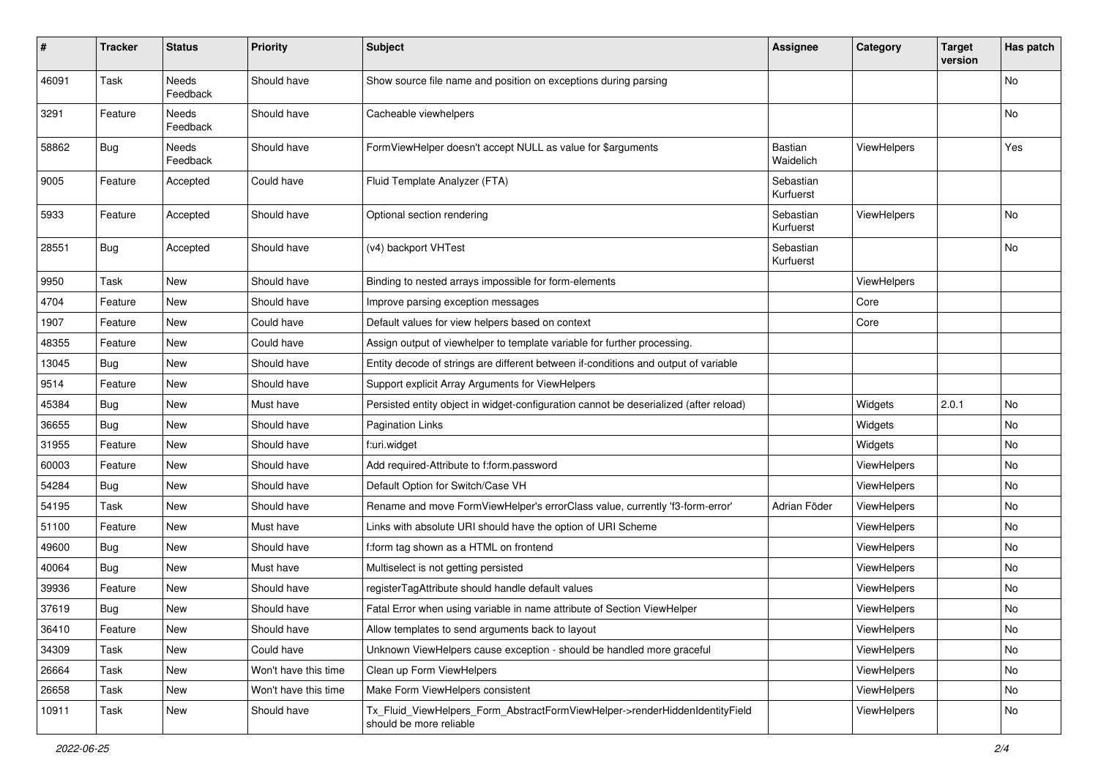| #     | <b>Tracker</b> | <b>Status</b>            | <b>Priority</b>      | <b>Subject</b>                                                                                         | <b>Assignee</b>        | Category    | <b>Target</b><br>version | Has patch |
|-------|----------------|--------------------------|----------------------|--------------------------------------------------------------------------------------------------------|------------------------|-------------|--------------------------|-----------|
| 46091 | Task           | <b>Needs</b><br>Feedback | Should have          | Show source file name and position on exceptions during parsing                                        |                        |             |                          | No        |
| 3291  | Feature        | Needs<br>Feedback        | Should have          | Cacheable viewhelpers                                                                                  |                        |             |                          | No        |
| 58862 | <b>Bug</b>     | Needs<br>Feedback        | Should have          | FormViewHelper doesn't accept NULL as value for \$arguments                                            | Bastian<br>Waidelich   | ViewHelpers |                          | Yes       |
| 9005  | Feature        | Accepted                 | Could have           | Fluid Template Analyzer (FTA)                                                                          | Sebastian<br>Kurfuerst |             |                          |           |
| 5933  | Feature        | Accepted                 | Should have          | Optional section rendering                                                                             | Sebastian<br>Kurfuerst | ViewHelpers |                          | No        |
| 28551 | Bug            | Accepted                 | Should have          | (v4) backport VHTest                                                                                   | Sebastian<br>Kurfuerst |             |                          | <b>No</b> |
| 9950  | Task           | New                      | Should have          | Binding to nested arrays impossible for form-elements                                                  |                        | ViewHelpers |                          |           |
| 4704  | Feature        | New                      | Should have          | Improve parsing exception messages                                                                     |                        | Core        |                          |           |
| 1907  | Feature        | New                      | Could have           | Default values for view helpers based on context                                                       |                        | Core        |                          |           |
| 48355 | Feature        | New                      | Could have           | Assign output of viewhelper to template variable for further processing.                               |                        |             |                          |           |
| 13045 | Bug            | New                      | Should have          | Entity decode of strings are different between if-conditions and output of variable                    |                        |             |                          |           |
| 9514  | Feature        | New                      | Should have          | Support explicit Array Arguments for ViewHelpers                                                       |                        |             |                          |           |
| 45384 | Bug            | New                      | Must have            | Persisted entity object in widget-configuration cannot be deserialized (after reload)                  |                        | Widgets     | 2.0.1                    | No        |
| 36655 | Bug            | New                      | Should have          | Pagination Links                                                                                       |                        | Widgets     |                          | No        |
| 31955 | Feature        | New                      | Should have          | f:uri.widget                                                                                           |                        | Widgets     |                          | No        |
| 60003 | Feature        | New                      | Should have          | Add required-Attribute to f:form.password                                                              |                        | ViewHelpers |                          | No        |
| 54284 | Bug            | New                      | Should have          | Default Option for Switch/Case VH                                                                      |                        | ViewHelpers |                          | No        |
| 54195 | Task           | New                      | Should have          | Rename and move FormViewHelper's errorClass value, currently 'f3-form-error'                           | Adrian Föder           | ViewHelpers |                          | No        |
| 51100 | Feature        | New                      | Must have            | Links with absolute URI should have the option of URI Scheme                                           |                        | ViewHelpers |                          | No        |
| 49600 | Bug            | New                      | Should have          | f:form tag shown as a HTML on frontend                                                                 |                        | ViewHelpers |                          | No        |
| 40064 | Bug            | New                      | Must have            | Multiselect is not getting persisted                                                                   |                        | ViewHelpers |                          | No        |
| 39936 | Feature        | New                      | Should have          | registerTagAttribute should handle default values                                                      |                        | ViewHelpers |                          | No        |
| 37619 | Bug            | New                      | Should have          | Fatal Error when using variable in name attribute of Section ViewHelper                                |                        | ViewHelpers |                          | No        |
| 36410 | Feature        | New                      | Should have          | Allow templates to send arguments back to layout                                                       |                        | ViewHelpers |                          | No        |
| 34309 | Task           | New                      | Could have           | Unknown ViewHelpers cause exception - should be handled more graceful                                  |                        | ViewHelpers |                          | No        |
| 26664 | Task           | New                      | Won't have this time | Clean up Form ViewHelpers                                                                              |                        | ViewHelpers |                          | No        |
| 26658 | Task           | New                      | Won't have this time | Make Form ViewHelpers consistent                                                                       |                        | ViewHelpers |                          | No        |
| 10911 | Task           | New                      | Should have          | Tx Fluid ViewHelpers Form AbstractFormViewHelper->renderHiddenIdentityField<br>should be more reliable |                        | ViewHelpers |                          | No        |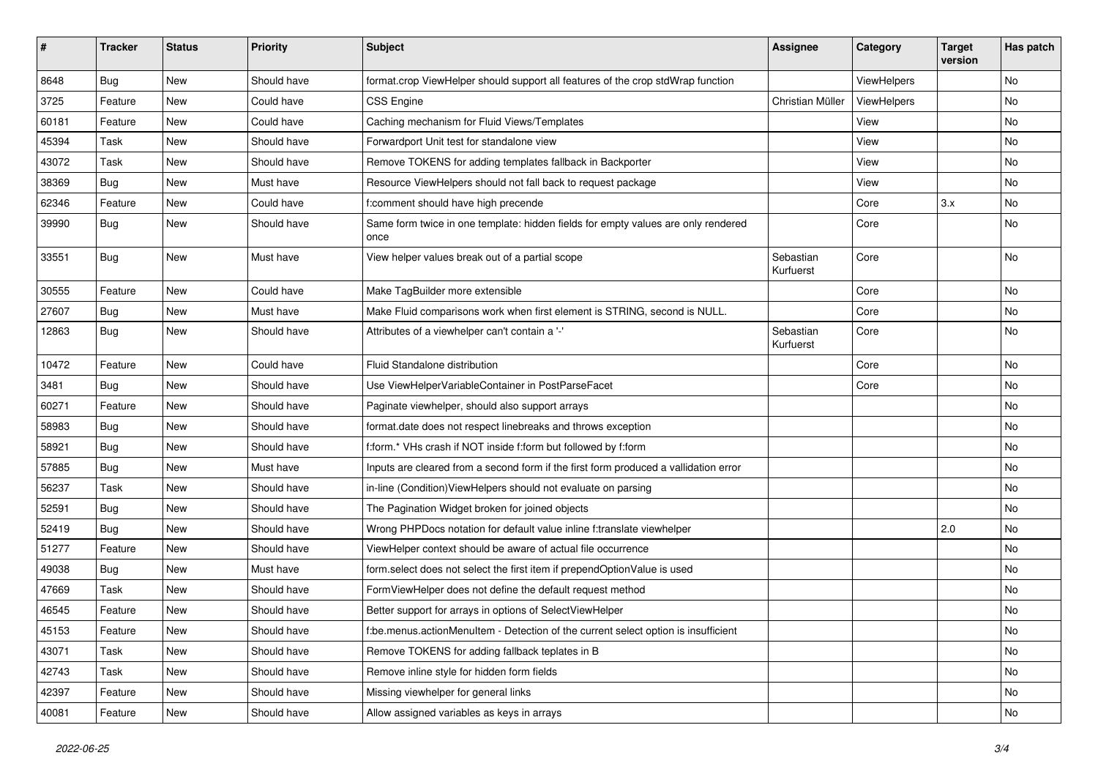| $\vert$ # | <b>Tracker</b> | <b>Status</b> | <b>Priority</b> | Subject                                                                                   | Assignee               | Category    | <b>Target</b><br>version | Has patch     |
|-----------|----------------|---------------|-----------------|-------------------------------------------------------------------------------------------|------------------------|-------------|--------------------------|---------------|
| 8648      | Bug            | New           | Should have     | format.crop ViewHelper should support all features of the crop stdWrap function           |                        | ViewHelpers |                          | No            |
| 3725      | Feature        | New           | Could have      | <b>CSS Engine</b>                                                                         | Christian Müller       | ViewHelpers |                          | No            |
| 60181     | Feature        | New           | Could have      | Caching mechanism for Fluid Views/Templates                                               |                        | View        |                          | No            |
| 45394     | Task           | New           | Should have     | Forwardport Unit test for standalone view                                                 |                        | View        |                          | No            |
| 43072     | Task           | New           | Should have     | Remove TOKENS for adding templates fallback in Backporter                                 |                        | View        |                          | No            |
| 38369     | Bug            | <b>New</b>    | Must have       | Resource ViewHelpers should not fall back to request package                              |                        | View        |                          | No            |
| 62346     | Feature        | New           | Could have      | f:comment should have high precende                                                       |                        | Core        | 3.x                      | No            |
| 39990     | <b>Bug</b>     | New           | Should have     | Same form twice in one template: hidden fields for empty values are only rendered<br>once |                        | Core        |                          | No            |
| 33551     | Bug            | New           | Must have       | View helper values break out of a partial scope                                           | Sebastian<br>Kurfuerst | Core        |                          | No            |
| 30555     | Feature        | New           | Could have      | Make TagBuilder more extensible                                                           |                        | Core        |                          | No            |
| 27607     | Bug            | New           | Must have       | Make Fluid comparisons work when first element is STRING, second is NULL.                 |                        | Core        |                          | No            |
| 12863     | <b>Bug</b>     | New           | Should have     | Attributes of a viewhelper can't contain a '-'                                            | Sebastian<br>Kurfuerst | Core        |                          | No            |
| 10472     | Feature        | New           | Could have      | Fluid Standalone distribution                                                             |                        | Core        |                          | No            |
| 3481      | Bug            | New           | Should have     | Use ViewHelperVariableContainer in PostParseFacet                                         |                        | Core        |                          | No            |
| 60271     | Feature        | New           | Should have     | Paginate viewhelper, should also support arrays                                           |                        |             |                          | No            |
| 58983     | <b>Bug</b>     | New           | Should have     | format.date does not respect linebreaks and throws exception                              |                        |             |                          | No            |
| 58921     | Bug            | New           | Should have     | f:form.* VHs crash if NOT inside f:form but followed by f:form                            |                        |             |                          | No            |
| 57885     | Bug            | New           | Must have       | Inputs are cleared from a second form if the first form produced a vallidation error      |                        |             |                          | No            |
| 56237     | Task           | <b>New</b>    | Should have     | in-line (Condition) ViewHelpers should not evaluate on parsing                            |                        |             |                          | No            |
| 52591     | <b>Bug</b>     | New           | Should have     | The Pagination Widget broken for joined objects                                           |                        |             |                          | No            |
| 52419     | <b>Bug</b>     | New           | Should have     | Wrong PHPDocs notation for default value inline f:translate viewhelper                    |                        |             | 2.0                      | No            |
| 51277     | Feature        | New           | Should have     | ViewHelper context should be aware of actual file occurrence                              |                        |             |                          | No            |
| 49038     | <b>Bug</b>     | New           | Must have       | form select does not select the first item if prependOptionValue is used                  |                        |             |                          | No            |
| 47669     | Task           | New           | Should have     | FormViewHelper does not define the default request method                                 |                        |             |                          | No            |
| 46545     | Feature        | New           | Should have     | Better support for arrays in options of SelectViewHelper                                  |                        |             |                          | No            |
| 45153     | Feature        | New           | Should have     | f:be.menus.actionMenuItem - Detection of the current select option is insufficient        |                        |             |                          | No            |
| 43071     | Task           | New           | Should have     | Remove TOKENS for adding fallback teplates in B                                           |                        |             |                          | $\mathsf{No}$ |
| 42743     | Task           | New           | Should have     | Remove inline style for hidden form fields                                                |                        |             |                          | No            |
| 42397     | Feature        | New           | Should have     | Missing viewhelper for general links                                                      |                        |             |                          | No            |
| 40081     | Feature        | New           | Should have     | Allow assigned variables as keys in arrays                                                |                        |             |                          | No            |